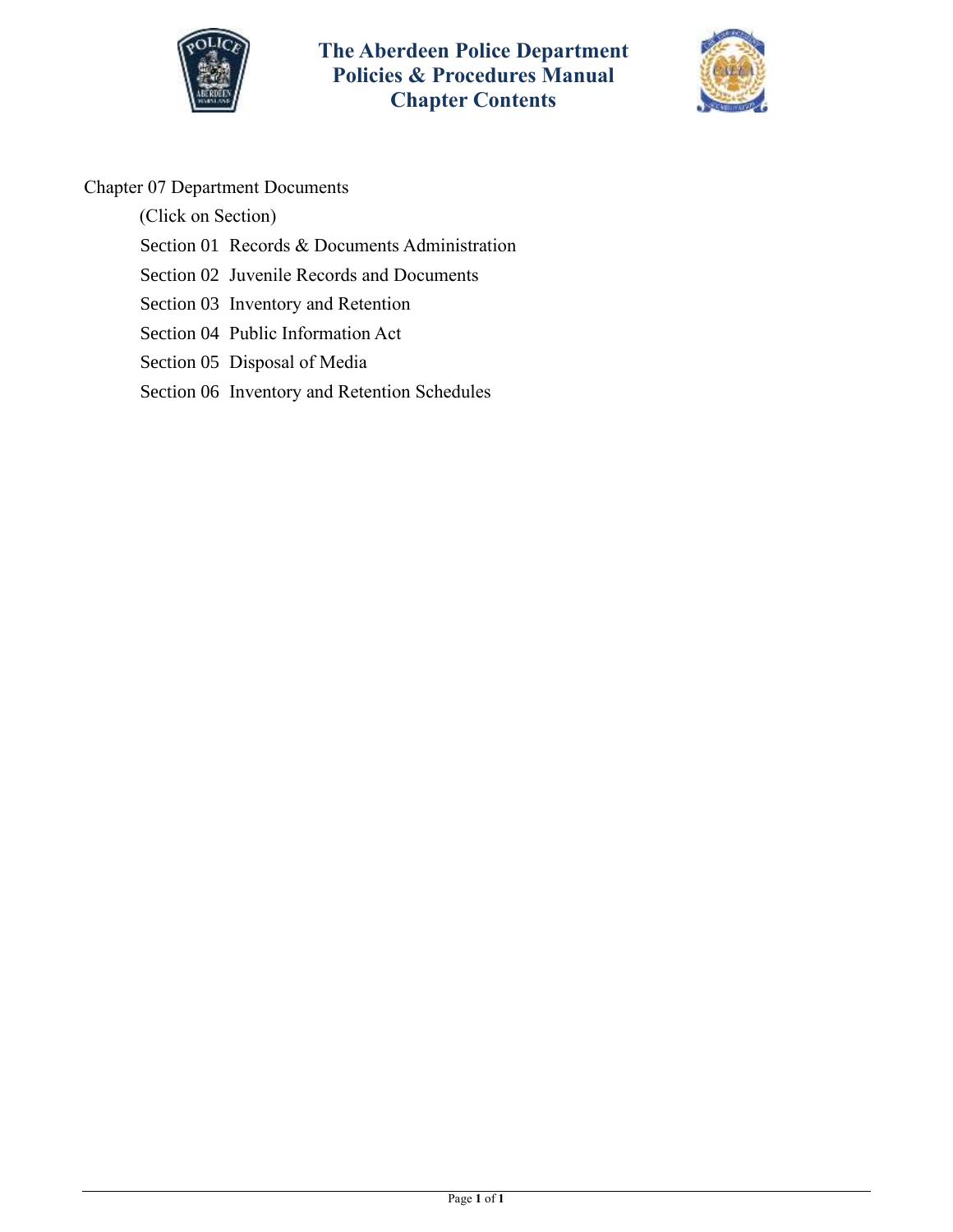



### Chapter 07 Department Documents

(Click on Section)

- [Section 01 Records & Documents Administration](#page-1-0)
- [Section 02 Juvenile Records](#page-3-0) and Documents
- [Section 03 Inventory and Retention](#page-4-0)
- [Section 04 Public Information Act](#page-8-0)
- [Section 05 Disposal of Media](#page-12-0)
- [Section 06 Inventory and Retention Schedules](#page-13-0)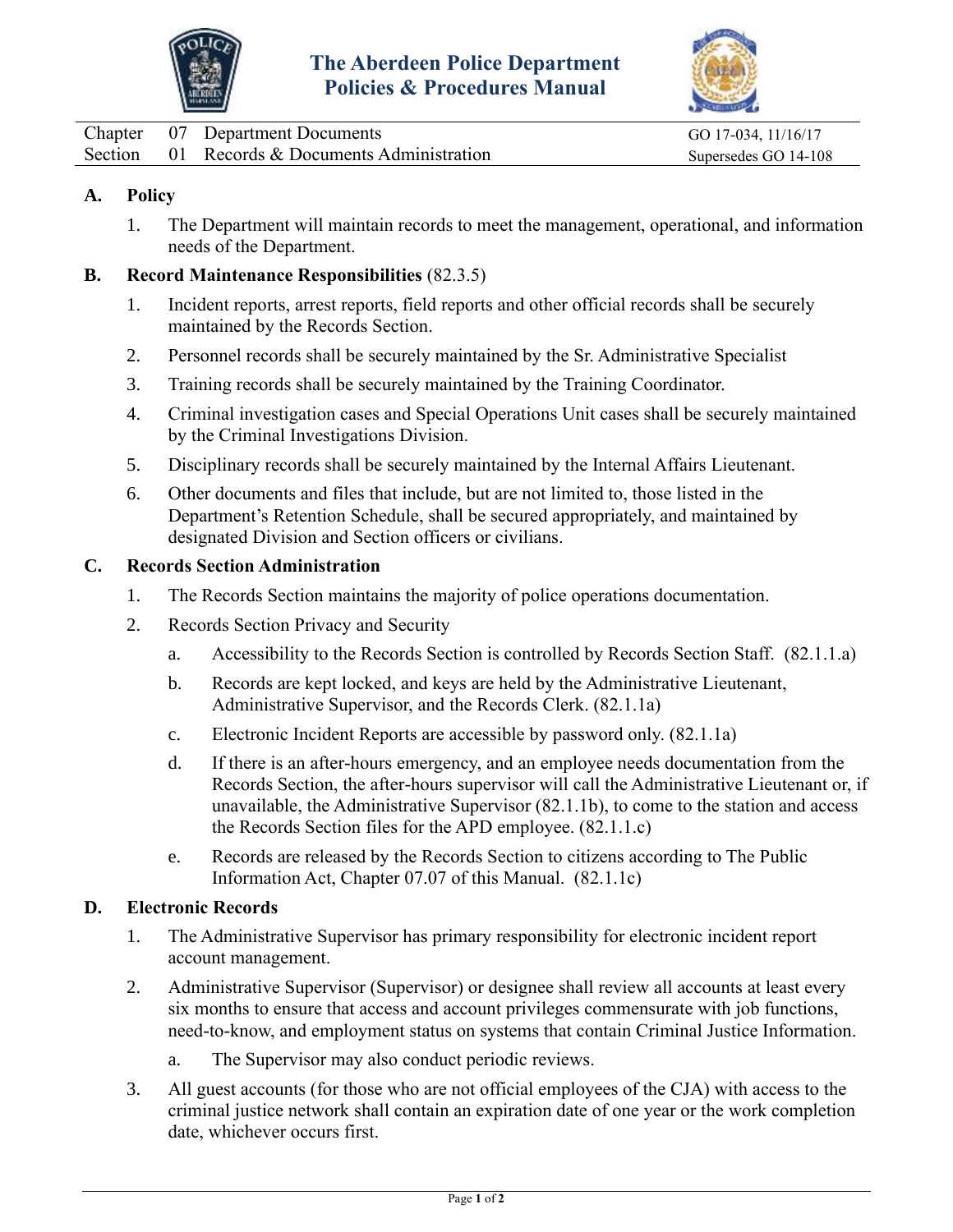



<span id="page-1-0"></span>

|  | Chapter 07 Department Documents               | GO 17-034, 11/16/17  |
|--|-----------------------------------------------|----------------------|
|  | Section 01 Records & Documents Administration | Supersedes GO 14-108 |

#### **A. Policy**

1. The Department will maintain records to meet the management, operational, and information needs of the Department.

#### **B. Record Maintenance Responsibilities** (82.3.5)

- 1. Incident reports, arrest reports, field reports and other official records shall be securely maintained by the Records Section.
- 2. Personnel records shall be securely maintained by the Sr. Administrative Specialist
- 3. Training records shall be securely maintained by the Training Coordinator.
- 4. Criminal investigation cases and Special Operations Unit cases shall be securely maintained by the Criminal Investigations Division.
- 5. Disciplinary records shall be securely maintained by the Internal Affairs Lieutenant.
- 6. Other documents and files that include, but are not limited to, those listed in the Department's Retention Schedule, shall be secured appropriately, and maintained by designated Division and Section officers or civilians.

#### **C. Records Section Administration**

- 1. The Records Section maintains the majority of police operations documentation.
- 2. Records Section Privacy and Security
	- a. Accessibility to the Records Section is controlled by Records Section Staff. (82.1.1.a)
	- b. Records are kept locked, and keys are held by the Administrative Lieutenant, Administrative Supervisor, and the Records Clerk. (82.1.1a)
	- c. Electronic Incident Reports are accessible by password only. (82.1.1a)
	- d. If there is an after-hours emergency, and an employee needs documentation from the Records Section, the after-hours supervisor will call the Administrative Lieutenant or, if unavailable, the Administrative Supervisor (82.1.1b), to come to the station and access the Records Section files for the APD employee. (82.1.1.c)
	- e. Records are released by the Records Section to citizens according to The Public Information Act, Chapter 07.07 of this Manual. (82.1.1c)

#### **D. Electronic Records**

- 1. The Administrative Supervisor has primary responsibility for electronic incident report account management.
- 2. Administrative Supervisor (Supervisor) or designee shall review all accounts at least every six months to ensure that access and account privileges commensurate with job functions, need-to-know, and employment status on systems that contain Criminal Justice Information.
	- a. The Supervisor may also conduct periodic reviews.
- 3. All guest accounts (for those who are not official employees of the CJA) with access to the criminal justice network shall contain an expiration date of one year or the work completion date, whichever occurs first.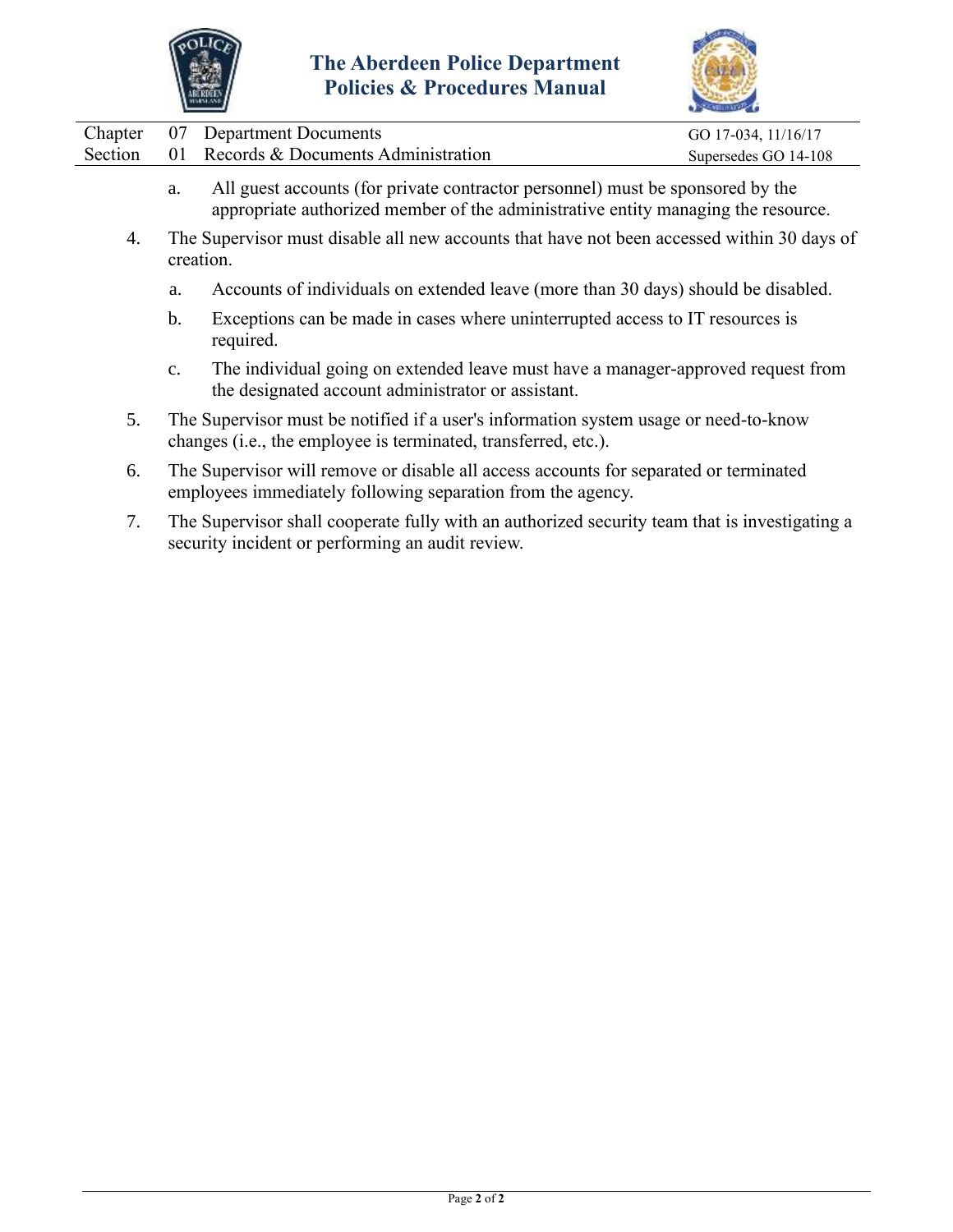



|         | Chapter 07 Department Documents       | GO 17-034, 11/16/17  |
|---------|---------------------------------------|----------------------|
| Section | 01 Records & Documents Administration | Supersedes GO 14-108 |
|         |                                       |                      |

- a. All guest accounts (for private contractor personnel) must be sponsored by the appropriate authorized member of the administrative entity managing the resource.
- 4. The Supervisor must disable all new accounts that have not been accessed within 30 days of creation.
	- a. Accounts of individuals on extended leave (more than 30 days) should be disabled.
	- b. Exceptions can be made in cases where uninterrupted access to IT resources is required.
	- c. The individual going on extended leave must have a manager-approved request from the designated account administrator or assistant.
- 5. The Supervisor must be notified if a user's information system usage or need-to-know changes (i.e., the employee is terminated, transferred, etc.).
- 6. The Supervisor will remove or disable all access accounts for separated or terminated employees immediately following separation from the agency.
- 7. The Supervisor shall cooperate fully with an authorized security team that is investigating a security incident or performing an audit review.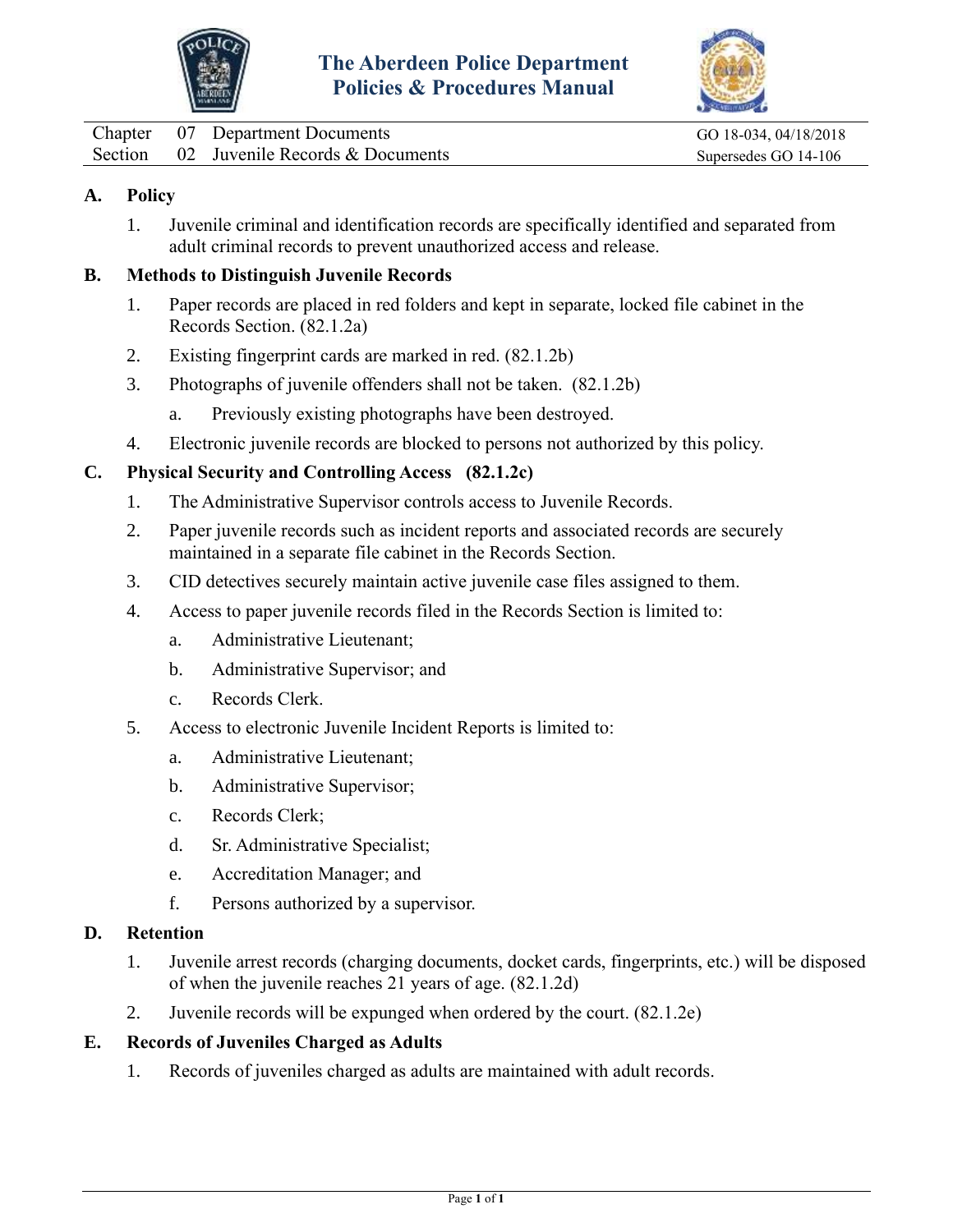



<span id="page-3-0"></span>

|  | Chapter 07 Department Documents         |
|--|-----------------------------------------|
|  | Section 02 Juvenile Records & Documents |

GO 18-034, 04/18/2018 Supersedes GO 14-106

#### **A. Policy**

1. Juvenile criminal and identification records are specifically identified and separated from adult criminal records to prevent unauthorized access and release.

#### **B. Methods to Distinguish Juvenile Records**

- 1. Paper records are placed in red folders and kept in separate, locked file cabinet in the Records Section. (82.1.2a)
- 2. Existing fingerprint cards are marked in red. (82.1.2b)
- 3. Photographs of juvenile offenders shall not be taken. (82.1.2b)
	- a. Previously existing photographs have been destroyed.
- 4. Electronic juvenile records are blocked to persons not authorized by this policy.

#### **C. Physical Security and Controlling Access (82.1.2c)**

- 1. The Administrative Supervisor controls access to Juvenile Records.
- 2. Paper juvenile records such as incident reports and associated records are securely maintained in a separate file cabinet in the Records Section.
- 3. CID detectives securely maintain active juvenile case files assigned to them.
- 4. Access to paper juvenile records filed in the Records Section is limited to:
	- a. Administrative Lieutenant;
	- b. Administrative Supervisor; and
	- c. Records Clerk.
- 5. Access to electronic Juvenile Incident Reports is limited to:
	- a. Administrative Lieutenant;
	- b. Administrative Supervisor;
	- c. Records Clerk;
	- d. Sr. Administrative Specialist;
	- e. Accreditation Manager; and
	- f. Persons authorized by a supervisor.

#### **D. Retention**

- 1. Juvenile arrest records (charging documents, docket cards, fingerprints, etc.) will be disposed of when the juvenile reaches 21 years of age. (82.1.2d)
- 2. Juvenile records will be expunged when ordered by the court. (82.1.2e)

#### **E. Records of Juveniles Charged as Adults**

1. Records of juveniles charged as adults are maintained with adult records.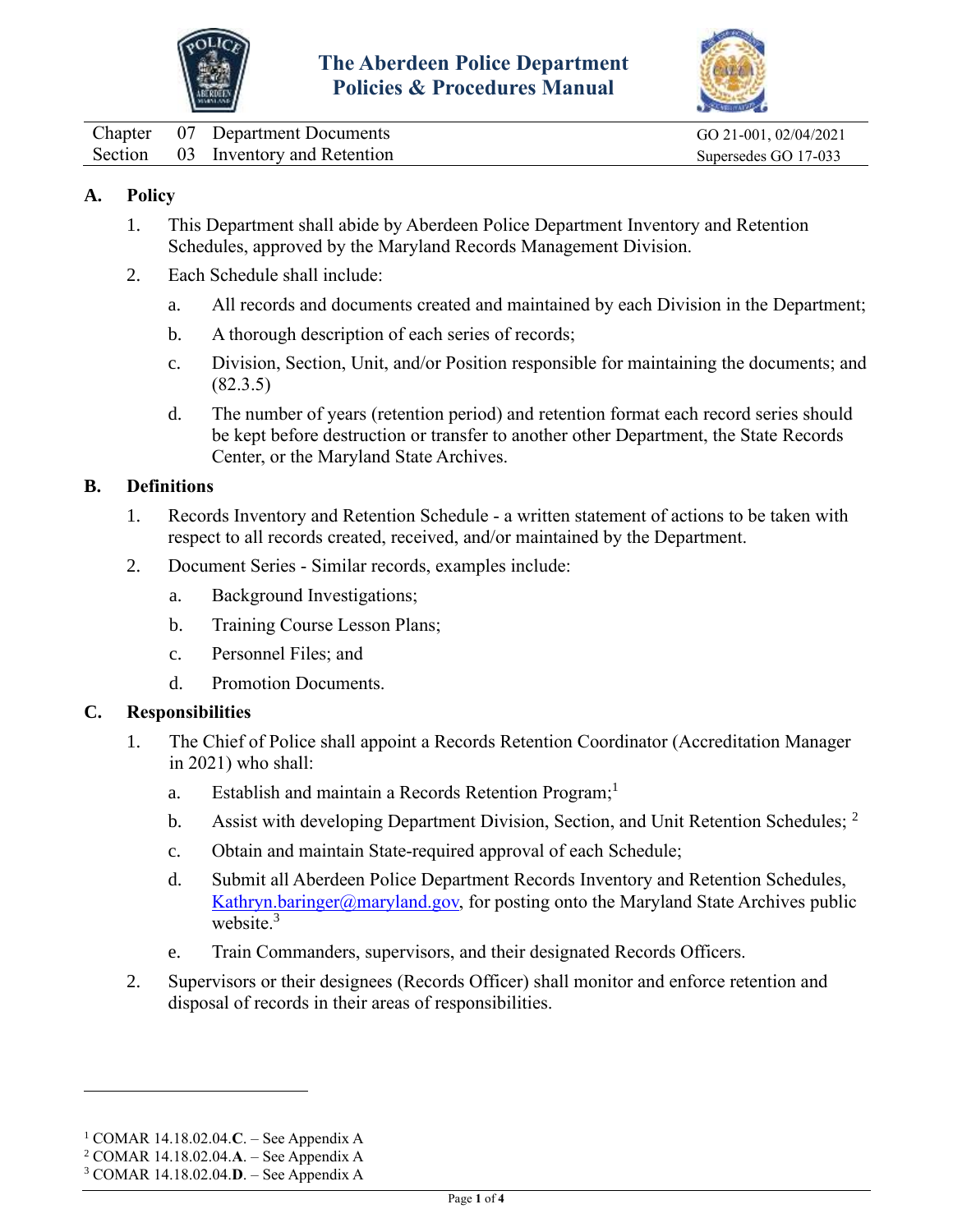



<span id="page-4-0"></span>

|  | Chapter 07 Department Documents    |
|--|------------------------------------|
|  | Section 03 Inventory and Retention |

GO 21-001, 02/04/2021 Supersedes GO 17-033

#### **A. Policy**

- 1. This Department shall abide by Aberdeen Police Department Inventory and Retention Schedules, approved by the Maryland Records Management Division.
- 2. Each Schedule shall include:
	- a. All records and documents created and maintained by each Division in the Department;
	- b. A thorough description of each series of records;
	- c. Division, Section, Unit, and/or Position responsible for maintaining the documents; and (82.3.5)
	- d. The number of years (retention period) and retention format each record series should be kept before destruction or transfer to another other Department, the State Records Center, or the Maryland State Archives.

#### **B. Definitions**

- 1. Records Inventory and Retention Schedule a written statement of actions to be taken with respect to all records created, received, and/or maintained by the Department.
- 2. Document Series Similar records, examples include:
	- a. Background Investigations;
	- b. Training Course Lesson Plans;
	- c. Personnel Files; and
	- d. Promotion Documents.

#### **C. Responsibilities**

- 1. The Chief of Police shall appoint a Records Retention Coordinator (Accreditation Manager in 2021) who shall:
	- a. Establish and maintain a Records Retention Program;<sup>1</sup>
	- b. Assist with developing Department Division, Section, and Unit Retention Schedules; <sup>2</sup>
	- c. Obtain and maintain State-required approval of each Schedule;
	- d. Submit all Aberdeen Police Department Records Inventory and Retention Schedules, [Kathryn.baringer@maryland.gov,](mailto:Kathryn.baringer@maryland.gov) for posting onto the Maryland State Archives public website $3$
	- e. Train Commanders, supervisors, and their designated Records Officers.
- 2. Supervisors or their designees (Records Officer) shall monitor and enforce retention and disposal of records in their areas of responsibilities.

<sup>1</sup> COMAR 14.18.02.04.**C**. – See Appendix A

<sup>2</sup> COMAR 14.18.02.04.**A**. – See Appendix A

<sup>3</sup> COMAR 14.18.02.04.**D**. – See Appendix A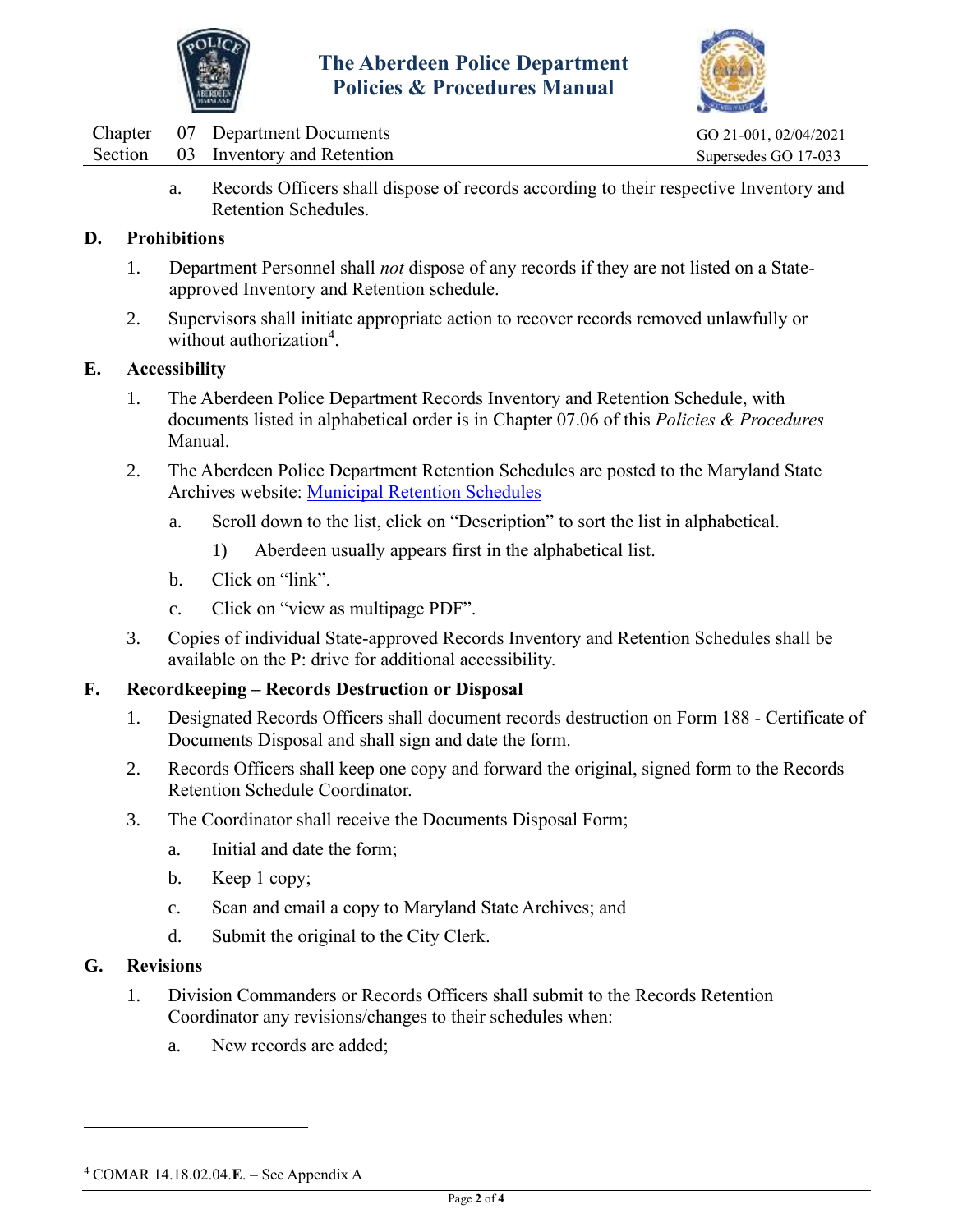



|  | Chapter 07 Department Documents    | GO 21-001, 02/04/2021 |
|--|------------------------------------|-----------------------|
|  | Section 03 Inventory and Retention | Supersedes GO 17-033  |

a. Records Officers shall dispose of records according to their respective Inventory and Retention Schedules.

#### **D. Prohibitions**

- 1. Department Personnel shall *not* dispose of any records if they are not listed on a Stateapproved Inventory and Retention schedule.
- 2. Supervisors shall initiate appropriate action to recover records removed unlawfully or without authorization<sup>4</sup>.

#### **E. Accessibility**

- 1. The Aberdeen Police Department Records Inventory and Retention Schedule, with documents listed in alphabetical order is in Chapter 07.06 of this *Policies & Procedures*  Manual.
- 2. The Aberdeen Police Department Retention Schedules are posted to the Maryland State Archives website: [Municipal Retention Schedules](http://guide.msa.maryland.gov/pages/series.aspx?action=viewdetailedseries&id=se54)
	- a. Scroll down to the list, click on "Description" to sort the list in alphabetical.
		- 1) Aberdeen usually appears first in the alphabetical list.
	- b. Click on "link".
	- c. Click on "view as multipage PDF".
- 3. Copies of individual State-approved Records Inventory and Retention Schedules shall be available on the P: drive for additional accessibility.

#### **F. Recordkeeping – Records Destruction or Disposal**

- 1. Designated Records Officers shall document records destruction on Form 188 Certificate of Documents Disposal and shall sign and date the form.
- 2. Records Officers shall keep one copy and forward the original, signed form to the Records Retention Schedule Coordinator.
- 3. The Coordinator shall receive the Documents Disposal Form;
	- a. Initial and date the form;
	- b. Keep 1 copy;
	- c. Scan and email a copy to Maryland State Archives; and
	- d. Submit the original to the City Clerk.

#### **G. Revisions**

- 1. Division Commanders or Records Officers shall submit to the Records Retention Coordinator any revisions/changes to their schedules when:
	- a. New records are added;

<sup>4</sup> COMAR 14.18.02.04.**E**. – See Appendix A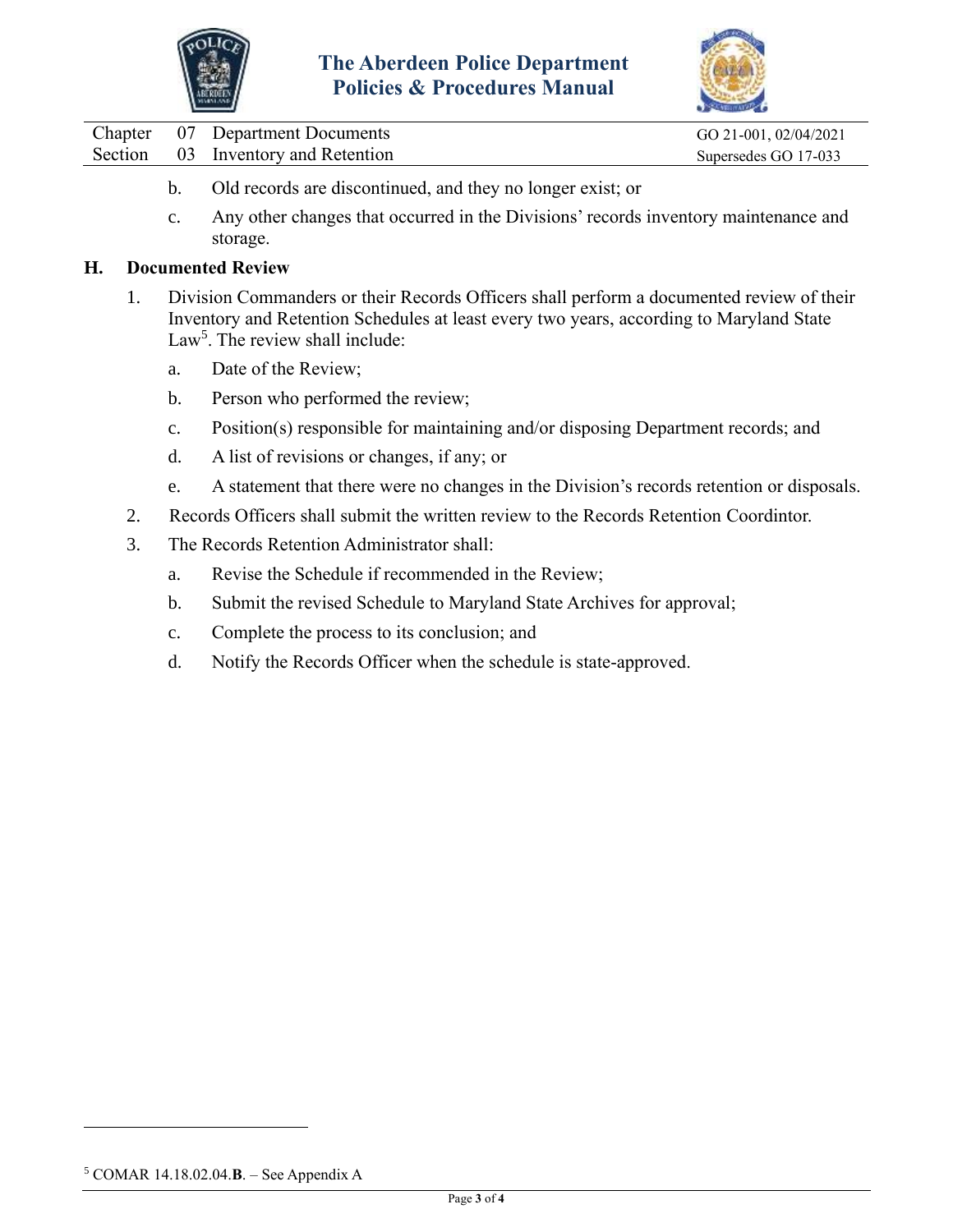



|  | Chapter 07 Department Documents    | GO 21-001, 02/04/2021 |
|--|------------------------------------|-----------------------|
|  | Section 03 Inventory and Retention | Supersedes GO 17-033  |

- b. Old records are discontinued, and they no longer exist; or
- c. Any other changes that occurred in the Divisions' records inventory maintenance and storage.

#### **H. Documented Review**

- 1. Division Commanders or their Records Officers shall perform a documented review of their Inventory and Retention Schedules at least every two years, according to Maryland State Law<sup>5</sup>. The review shall include:
	- a. Date of the Review;
	- b. Person who performed the review;
	- c. Position(s) responsible for maintaining and/or disposing Department records; and
	- d. A list of revisions or changes, if any; or
	- e. A statement that there were no changes in the Division's records retention or disposals.
- 2. Records Officers shall submit the written review to the Records Retention Coordintor.
- 3. The Records Retention Administrator shall:
	- a. Revise the Schedule if recommended in the Review;
	- b. Submit the revised Schedule to Maryland State Archives for approval;
	- c. Complete the process to its conclusion; and
	- d. Notify the Records Officer when the schedule is state-approved.

<sup>5</sup> COMAR 14.18.02.04.**B**. – See Appendix A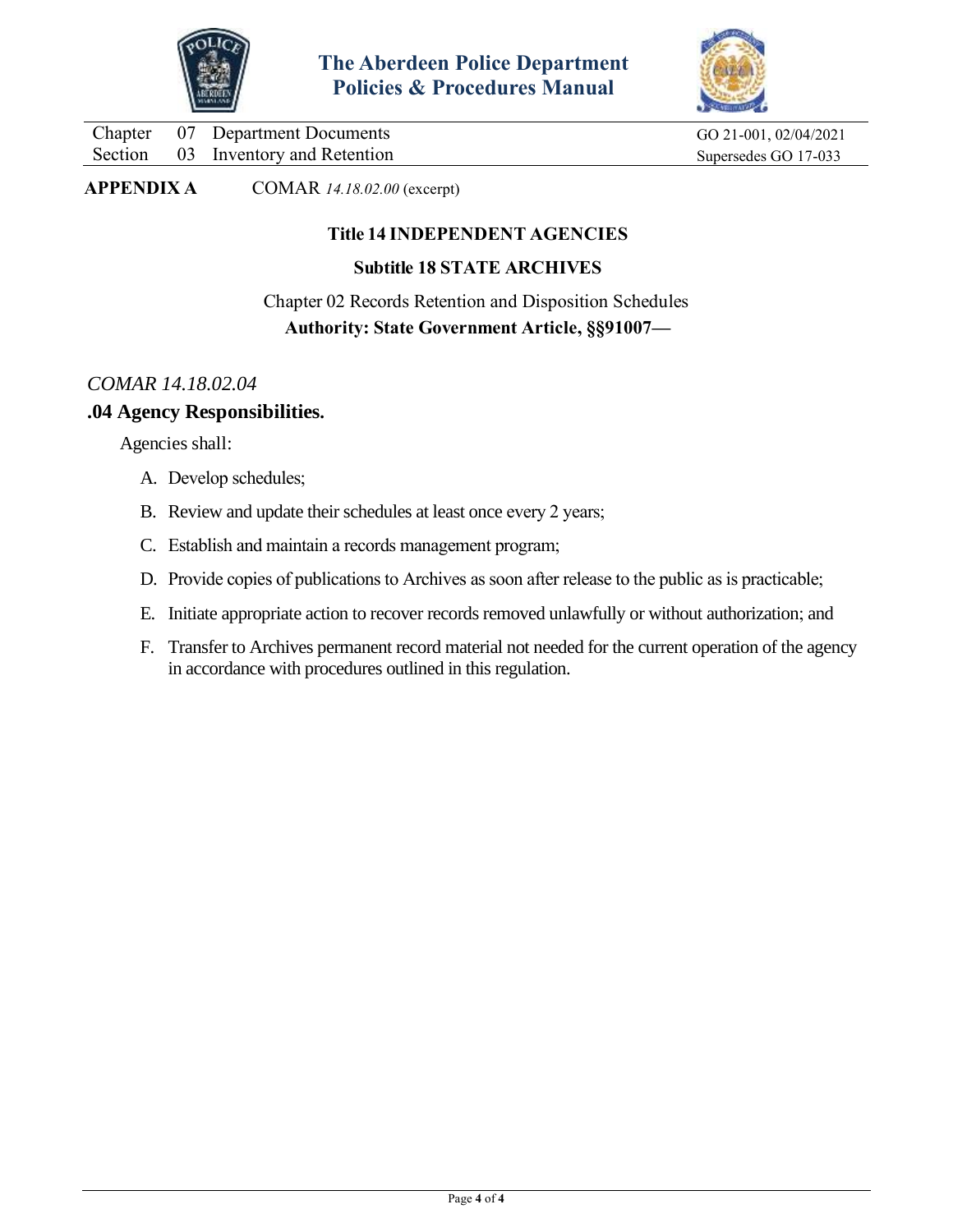



Chapter 07 Department Documents GO 21-001, 02/04/2021 Section 03 Inventory and Retention Supersedes GO 17-033

**APPENDIX A** COMAR *14.18.02.00* (excerpt)

#### **Title 14 INDEPENDENT AGENCIES**

#### **Subtitle 18 STATE ARCHIVES**

Chapter 02 Records Retention and Disposition Schedules **Authority: State Government Article, §§91007—**

#### *COMAR 14.18.02.04*

#### **.04 Agency Responsibilities.**

Agencies shall:

- A. Develop schedules;
- B. Review and update their schedules at least once every 2 years;
- C. Establish and maintain a records management program;
- D. Provide copies of publications to Archives as soon after release to the public as is practicable;
- E. Initiate appropriate action to recover records removed unlawfully or without authorization; and
- F. Transfer to Archives permanent record material not needed for the current operation of the agency in accordance with procedures outlined in this regulation.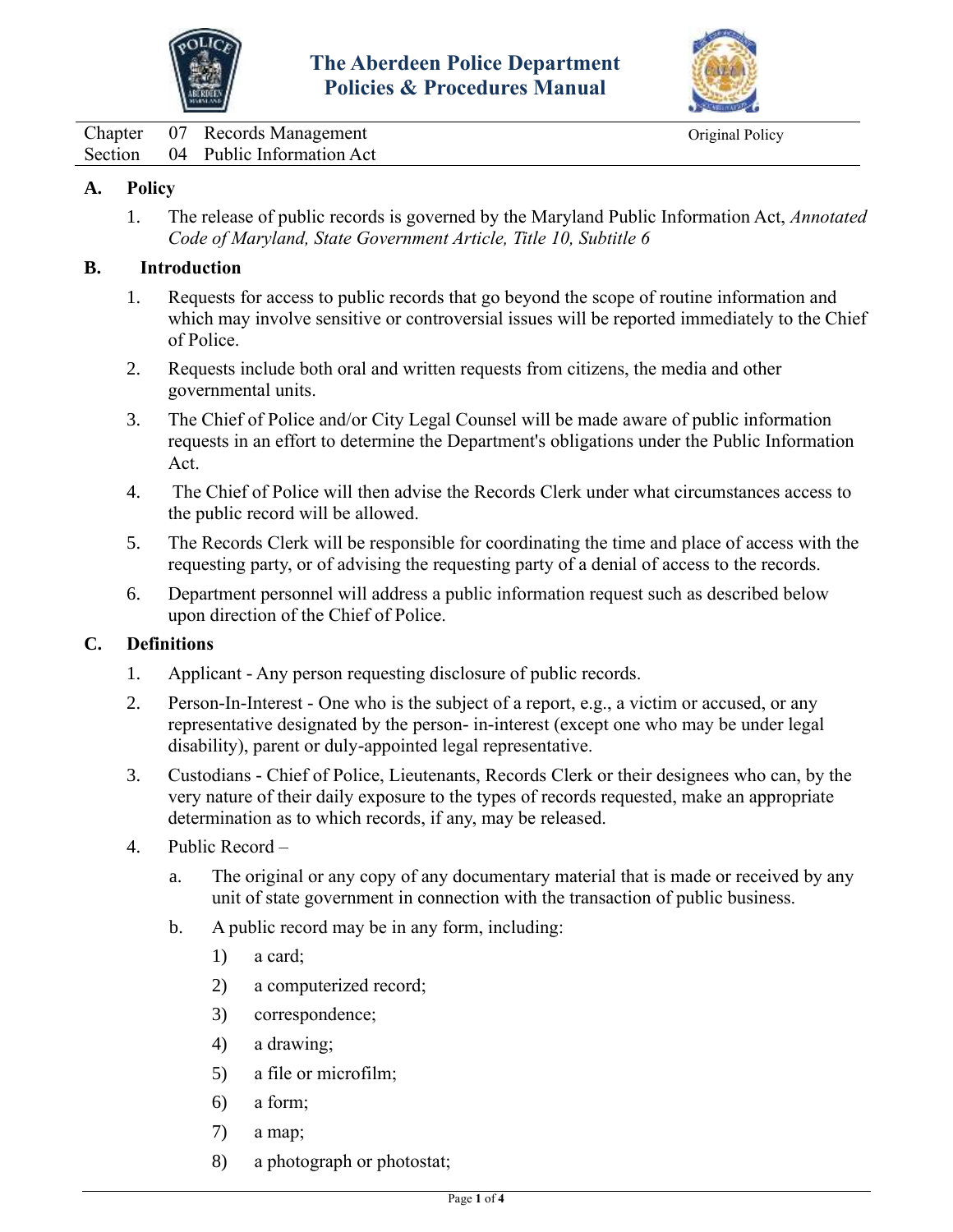



<span id="page-8-0"></span>Chapter 07 Records Management Original Policy Section 04 Public Information Act

#### **A. Policy**

1. The release of public records is governed by the Maryland Public Information Act, *Annotated Code of Maryland, State Government Article, Title 10, Subtitle 6*

#### **B. Introduction**

- 1. Requests for access to public records that go beyond the scope of routine information and which may involve sensitive or controversial issues will be reported immediately to the Chief of Police.
- 2. Requests include both oral and written requests from citizens, the media and other governmental units.
- 3. The Chief of Police and/or City Legal Counsel will be made aware of public information requests in an effort to determine the Department's obligations under the Public Information Act.
- 4. The Chief of Police will then advise the Records Clerk under what circumstances access to the public record will be allowed.
- 5. The Records Clerk will be responsible for coordinating the time and place of access with the requesting party, or of advising the requesting party of a denial of access to the records.
- 6. Department personnel will address a public information request such as described below upon direction of the Chief of Police.

#### **C. Definitions**

- 1. Applicant Any person requesting disclosure of public records.
- 2. Person-In-Interest One who is the subject of a report, e.g., a victim or accused, or any representative designated by the person- in-interest (except one who may be under legal disability), parent or duly-appointed legal representative.
- 3. Custodians Chief of Police, Lieutenants, Records Clerk or their designees who can, by the very nature of their daily exposure to the types of records requested, make an appropriate determination as to which records, if any, may be released.
- 4. Public Record
	- a. The original or any copy of any documentary material that is made or received by any unit of state government in connection with the transaction of public business.
	- b. A public record may be in any form, including:
		- 1) a card;
		- 2) a computerized record;
		- 3) correspondence;
		- 4) a drawing;
		- 5) a file or microfilm;
		- 6) a form;
		- 7) a map;
		- 8) a photograph or photostat;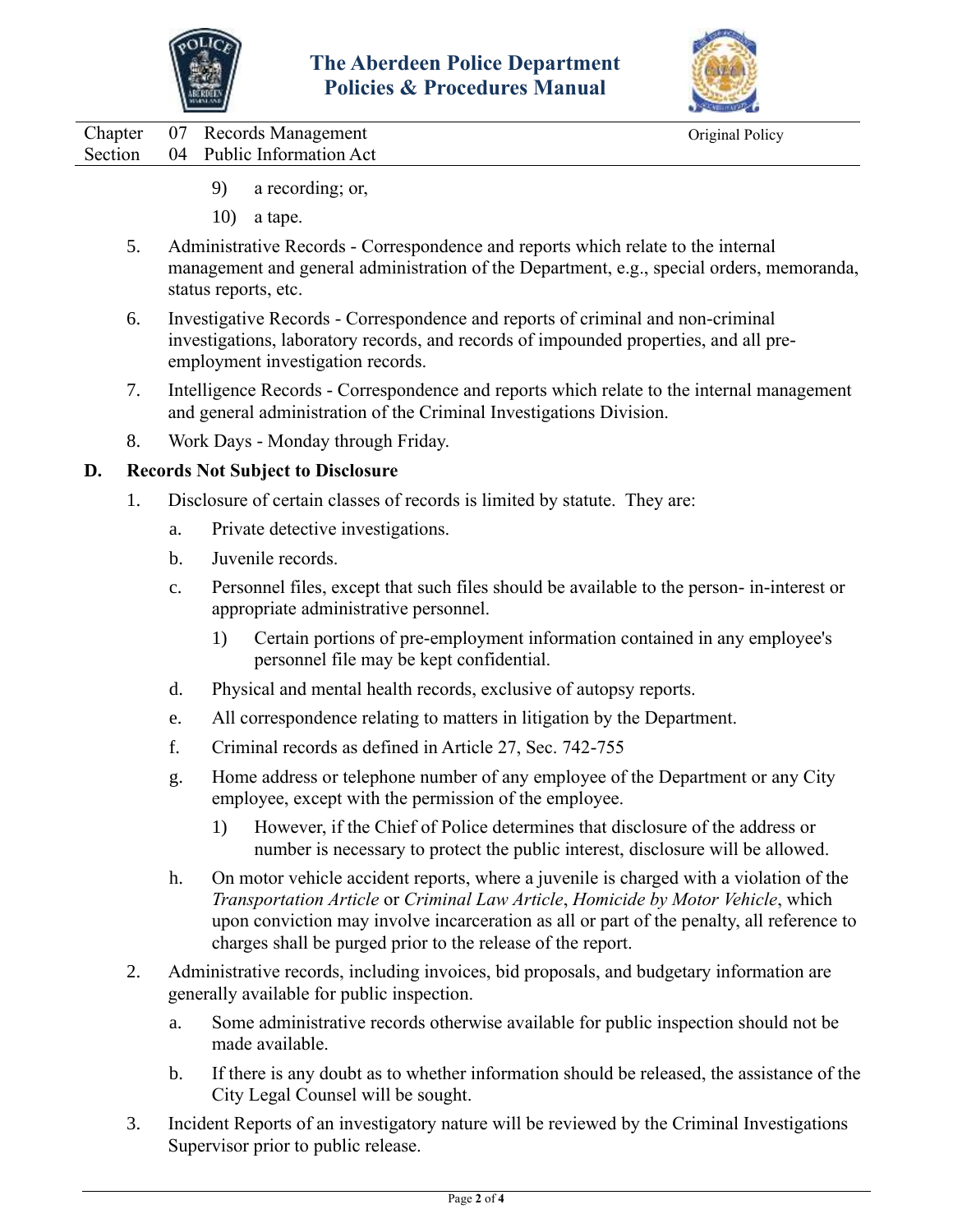



Chapter 07 Records Management Original Policy Section 04 Public Information Act

- 9) a recording; or,
- 10) a tape.
- 5. Administrative Records Correspondence and reports which relate to the internal management and general administration of the Department, e.g., special orders, memoranda, status reports, etc.
- 6. Investigative Records Correspondence and reports of criminal and non-criminal investigations, laboratory records, and records of impounded properties, and all preemployment investigation records.
- 7. Intelligence Records Correspondence and reports which relate to the internal management and general administration of the Criminal Investigations Division.
- 8. Work Days Monday through Friday.

#### **D. Records Not Subject to Disclosure**

- 1. Disclosure of certain classes of records is limited by statute. They are:
	- a. Private detective investigations.
	- b. Juvenile records.
	- c. Personnel files, except that such files should be available to the person- in-interest or appropriate administrative personnel.
		- 1) Certain portions of pre-employment information contained in any employee's personnel file may be kept confidential.
	- d. Physical and mental health records, exclusive of autopsy reports.
	- e. All correspondence relating to matters in litigation by the Department.
	- f. Criminal records as defined in Article 27, Sec. 742-755
	- g. Home address or telephone number of any employee of the Department or any City employee, except with the permission of the employee.
		- 1) However, if the Chief of Police determines that disclosure of the address or number is necessary to protect the public interest, disclosure will be allowed.
	- h. On motor vehicle accident reports, where a juvenile is charged with a violation of the *Transportation Article* or *Criminal Law Article*, *Homicide by Motor Vehicle*, which upon conviction may involve incarceration as all or part of the penalty, all reference to charges shall be purged prior to the release of the report.
- 2. Administrative records, including invoices, bid proposals, and budgetary information are generally available for public inspection.
	- a. Some administrative records otherwise available for public inspection should not be made available.
	- b. If there is any doubt as to whether information should be released, the assistance of the City Legal Counsel will be sought.
- 3. Incident Reports of an investigatory nature will be reviewed by the Criminal Investigations Supervisor prior to public release.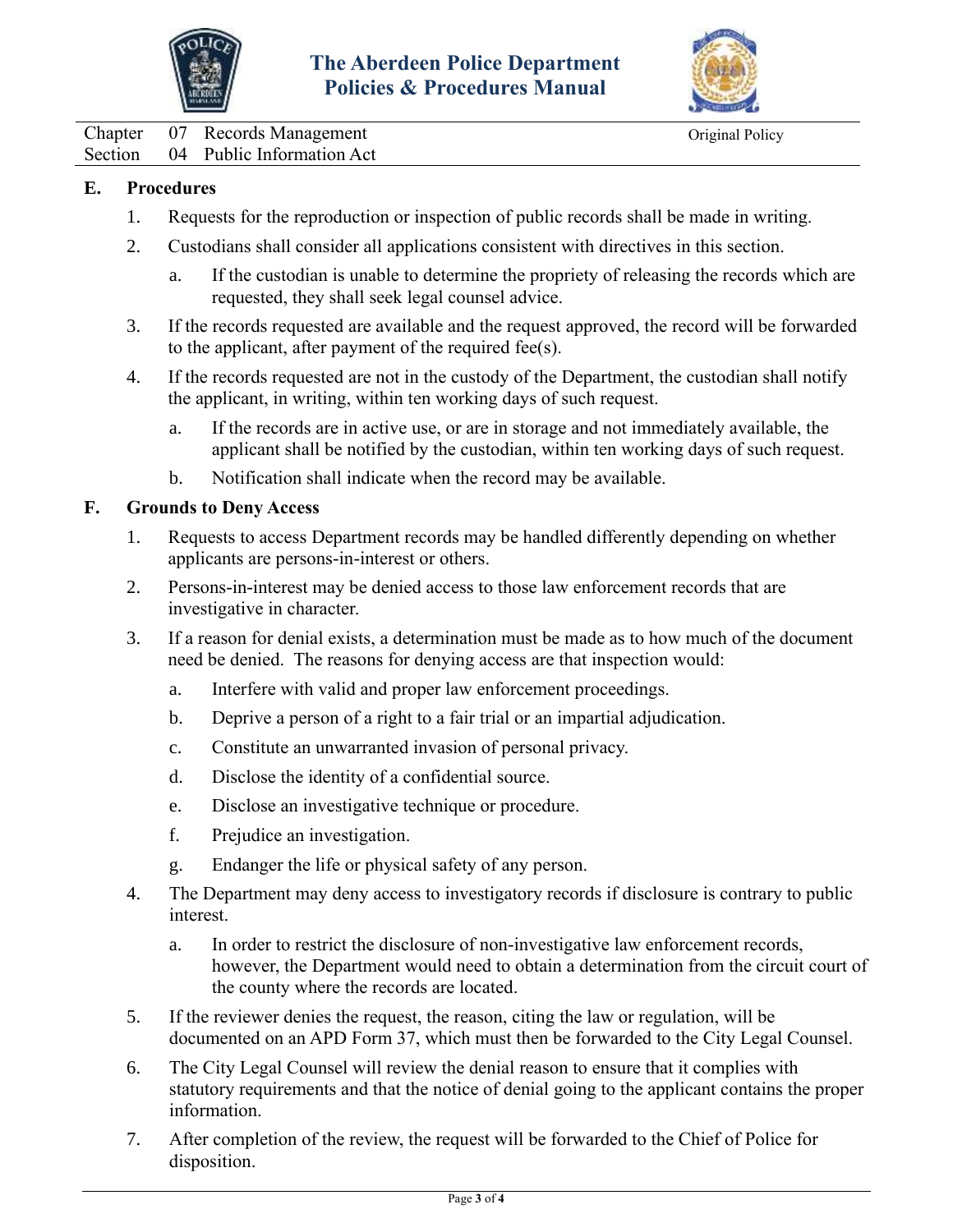



Chapter 07 Records Management Original Policy Section 04 Public Information Act

#### **E. Procedures**

- 1. Requests for the reproduction or inspection of public records shall be made in writing.
- 2. Custodians shall consider all applications consistent with directives in this section.
	- a. If the custodian is unable to determine the propriety of releasing the records which are requested, they shall seek legal counsel advice.
- 3. If the records requested are available and the request approved, the record will be forwarded to the applicant, after payment of the required fee(s).
- 4. If the records requested are not in the custody of the Department, the custodian shall notify the applicant, in writing, within ten working days of such request.
	- a. If the records are in active use, or are in storage and not immediately available, the applicant shall be notified by the custodian, within ten working days of such request.
	- b. Notification shall indicate when the record may be available.

#### **F. Grounds to Deny Access**

- 1. Requests to access Department records may be handled differently depending on whether applicants are persons-in-interest or others.
- 2. Persons-in-interest may be denied access to those law enforcement records that are investigative in character.
- 3. If a reason for denial exists, a determination must be made as to how much of the document need be denied. The reasons for denying access are that inspection would:
	- a. Interfere with valid and proper law enforcement proceedings.
	- b. Deprive a person of a right to a fair trial or an impartial adjudication.
	- c. Constitute an unwarranted invasion of personal privacy.
	- d. Disclose the identity of a confidential source.
	- e. Disclose an investigative technique or procedure.
	- f. Prejudice an investigation.
	- g. Endanger the life or physical safety of any person.
- 4. The Department may deny access to investigatory records if disclosure is contrary to public interest.
	- a. In order to restrict the disclosure of non-investigative law enforcement records, however, the Department would need to obtain a determination from the circuit court of the county where the records are located.
- 5. If the reviewer denies the request, the reason, citing the law or regulation, will be documented on an APD Form 37, which must then be forwarded to the City Legal Counsel.
- 6. The City Legal Counsel will review the denial reason to ensure that it complies with statutory requirements and that the notice of denial going to the applicant contains the proper information.
- 7. After completion of the review, the request will be forwarded to the Chief of Police for disposition.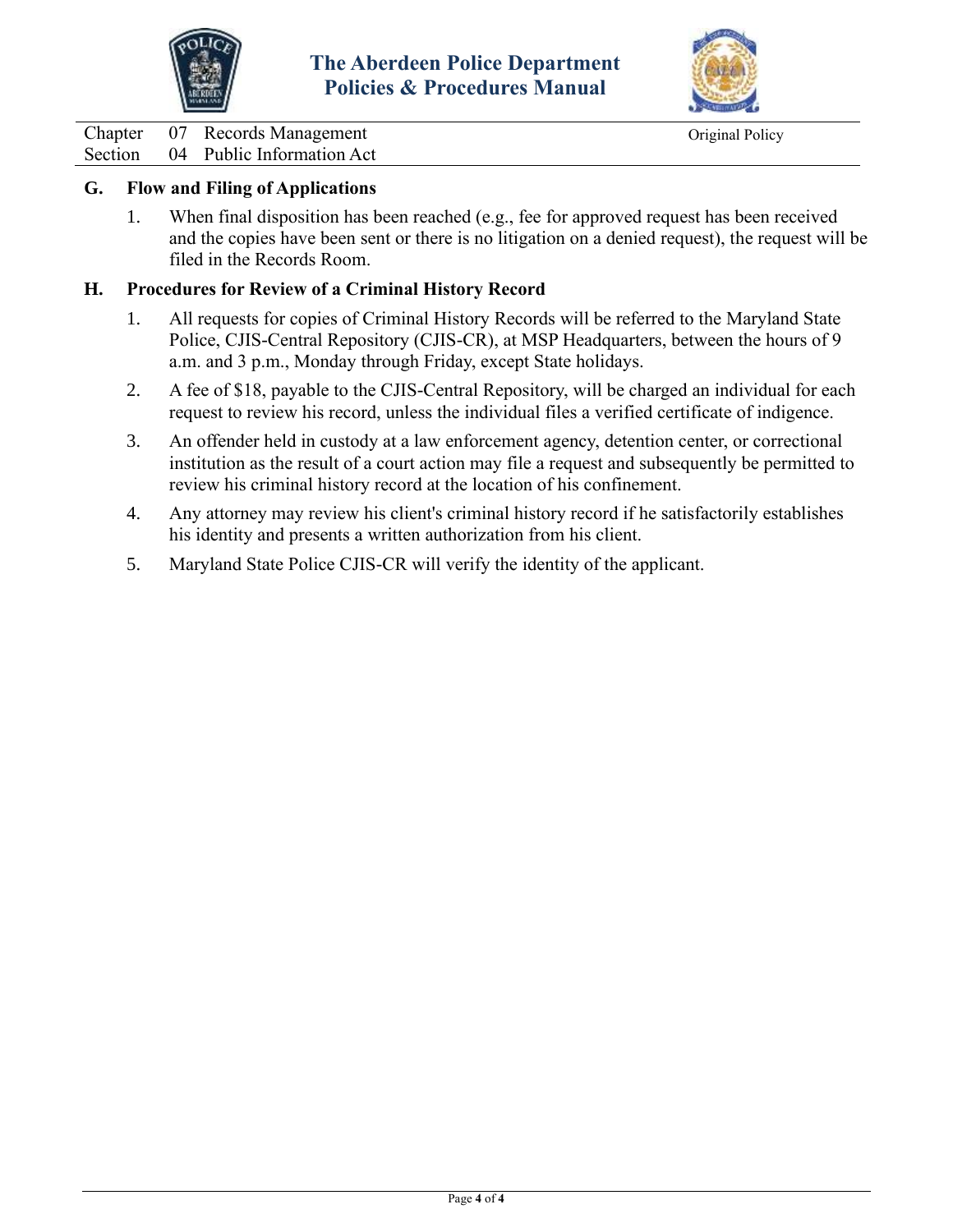



Chapter 07 Records Management Original Policy

# Section 04 Public Information Act

#### **G. Flow and Filing of Applications**

1. When final disposition has been reached (e.g., fee for approved request has been received and the copies have been sent or there is no litigation on a denied request), the request will be filed in the Records Room.

#### **H. Procedures for Review of a Criminal History Record**

- 1. All requests for copies of Criminal History Records will be referred to the Maryland State Police, CJIS-Central Repository (CJIS-CR), at MSP Headquarters, between the hours of 9 a.m. and 3 p.m., Monday through Friday, except State holidays.
- 2. A fee of \$18, payable to the CJIS-Central Repository, will be charged an individual for each request to review his record, unless the individual files a verified certificate of indigence.
- 3. An offender held in custody at a law enforcement agency, detention center, or correctional institution as the result of a court action may file a request and subsequently be permitted to review his criminal history record at the location of his confinement.
- 4. Any attorney may review his client's criminal history record if he satisfactorily establishes his identity and presents a written authorization from his client.
- 5. Maryland State Police CJIS-CR will verify the identity of the applicant.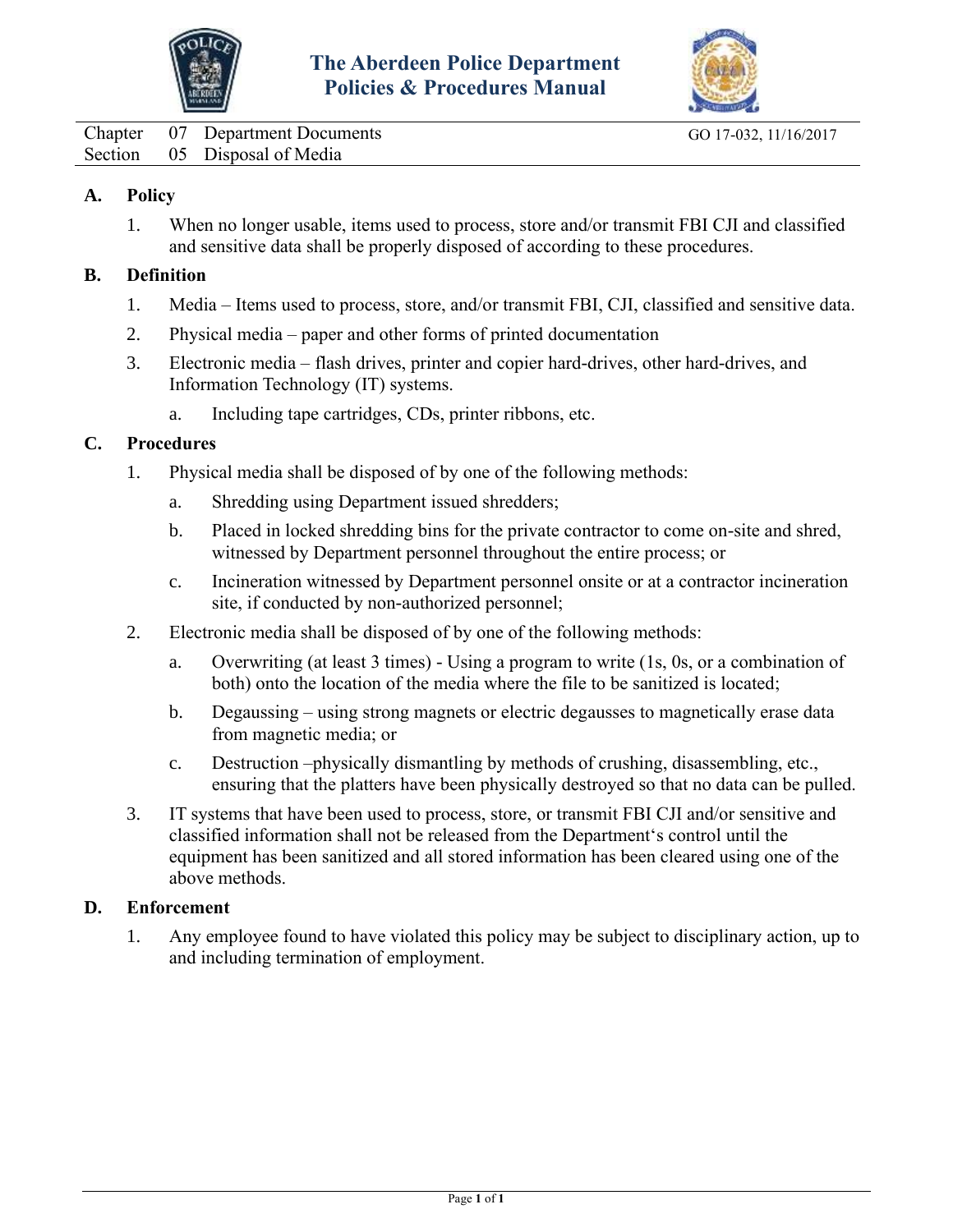



<span id="page-12-0"></span>Chapter 07 Department Documents GO 17-032, 11/16/2017 Section 05 Disposal of Media

#### **A. Policy**

1. When no longer usable, items used to process, store and/or transmit FBI CJI and classified and sensitive data shall be properly disposed of according to these procedures.

#### **B. Definition**

- 1. Media Items used to process, store, and/or transmit FBI, CJI, classified and sensitive data.
- 2. Physical media paper and other forms of printed documentation
- 3. Electronic media flash drives, printer and copier hard-drives, other hard-drives, and Information Technology (IT) systems.
	- a. Including tape cartridges, CDs, printer ribbons, etc.

#### **C. Procedures**

- 1. Physical media shall be disposed of by one of the following methods:
	- a. Shredding using Department issued shredders;
	- b. Placed in locked shredding bins for the private contractor to come on-site and shred, witnessed by Department personnel throughout the entire process; or
	- c. Incineration witnessed by Department personnel onsite or at a contractor incineration site, if conducted by non-authorized personnel;
- 2. Electronic media shall be disposed of by one of the following methods:
	- a. Overwriting (at least 3 times) Using a program to write (1s, 0s, or a combination of both) onto the location of the media where the file to be sanitized is located;
	- b. Degaussing using strong magnets or electric degausses to magnetically erase data from magnetic media; or
	- c. Destruction –physically dismantling by methods of crushing, disassembling, etc., ensuring that the platters have been physically destroyed so that no data can be pulled.
- 3. IT systems that have been used to process, store, or transmit FBI CJI and/or sensitive and classified information shall not be released from the Department's control until the equipment has been sanitized and all stored information has been cleared using one of the above methods.

#### **D. Enforcement**

1. Any employee found to have violated this policy may be subject to disciplinary action, up to and including termination of employment.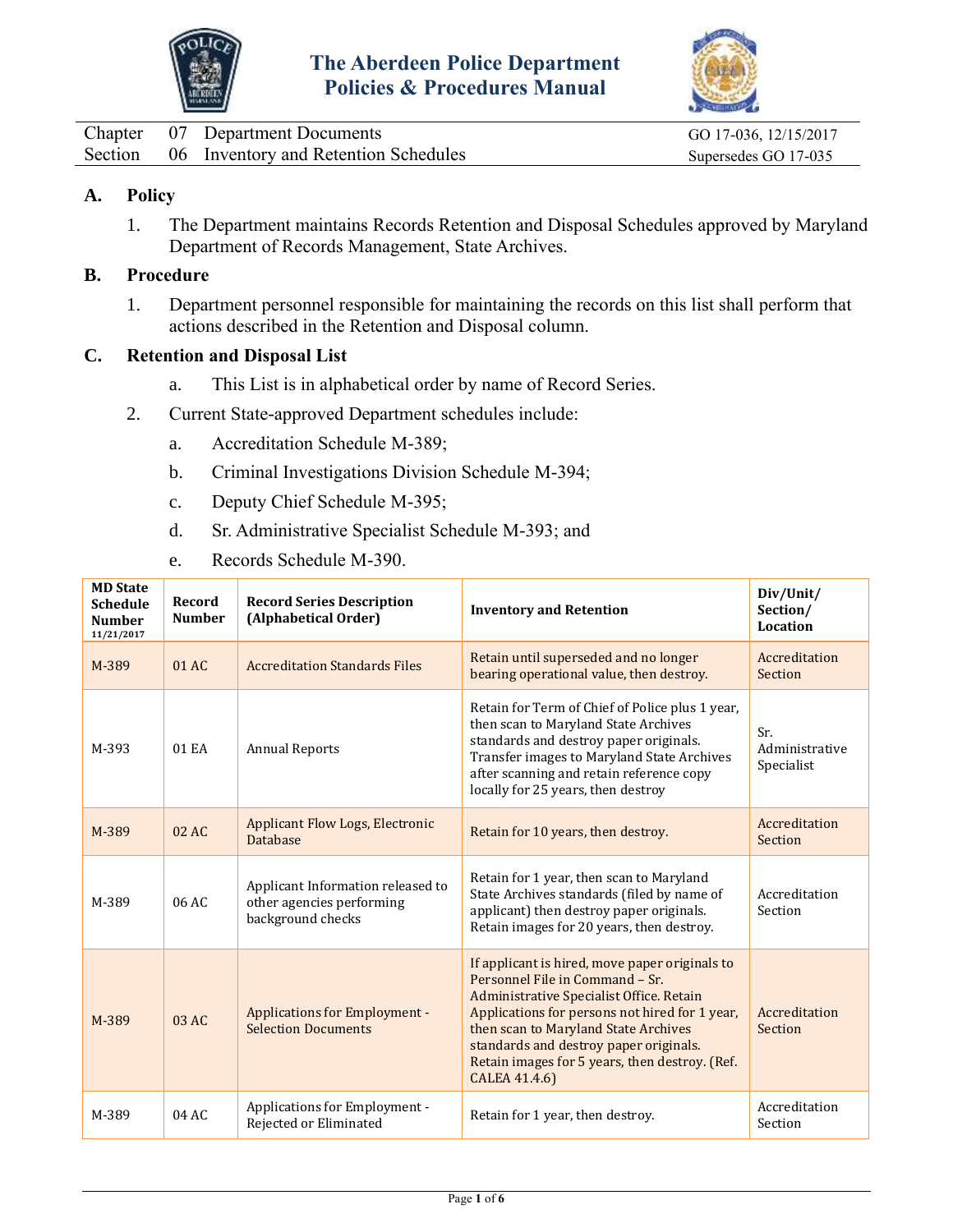



<span id="page-13-0"></span>

|  | Chapter 07 Department Documents              | GO 17-036, 12/15/2017 |
|--|----------------------------------------------|-----------------------|
|  | Section 06 Inventory and Retention Schedules | Supersedes GO 17-035  |

#### **A. Policy**

1. The Department maintains Records Retention and Disposal Schedules approved by Maryland Department of Records Management, State Archives.

#### **B. Procedure**

1. Department personnel responsible for maintaining the records on this list shall perform that actions described in the Retention and Disposal column.

#### **C. Retention and Disposal List**

- a. This List is in alphabetical order by name of Record Series.
- 2. Current State-approved Department schedules include:
	- a. Accreditation Schedule M-389;
	- b. Criminal Investigations Division Schedule M-394;
	- c. Deputy Chief Schedule M-395;
	- d. Sr. Administrative Specialist Schedule M-393; and
	- e. Records Schedule M-390.

| <b>MD State</b><br><b>Schedule</b><br><b>Number</b><br>11/21/2017 | Record<br><b>Number</b> | <b>Record Series Description</b><br>(Alphabetical Order)                            | <b>Inventory and Retention</b>                                                                                                                                                                                                                                                                                                       | Div/Unit/<br>Section/<br>Location   |
|-------------------------------------------------------------------|-------------------------|-------------------------------------------------------------------------------------|--------------------------------------------------------------------------------------------------------------------------------------------------------------------------------------------------------------------------------------------------------------------------------------------------------------------------------------|-------------------------------------|
| M-389                                                             | 01 AC                   | <b>Accreditation Standards Files</b>                                                | Retain until superseded and no longer<br>bearing operational value, then destroy.                                                                                                                                                                                                                                                    | Accreditation<br>Section            |
| M-393                                                             | 01 EA                   | <b>Annual Reports</b>                                                               | Retain for Term of Chief of Police plus 1 year,<br>then scan to Maryland State Archives<br>standards and destroy paper originals.<br>Transfer images to Maryland State Archives<br>after scanning and retain reference copy<br>locally for 25 years, then destroy                                                                    | Sr.<br>Administrative<br>Specialist |
| M-389                                                             | 02 AC                   | <b>Applicant Flow Logs, Electronic</b><br><b>Database</b>                           | Retain for 10 years, then destroy.                                                                                                                                                                                                                                                                                                   | Accreditation<br>Section            |
| M-389                                                             | 06 AC                   | Applicant Information released to<br>other agencies performing<br>background checks | Retain for 1 year, then scan to Maryland<br>State Archives standards (filed by name of<br>applicant) then destroy paper originals.<br>Retain images for 20 years, then destroy.                                                                                                                                                      | Accreditation<br>Section            |
| M-389                                                             | 03 AC                   | <b>Applications for Employment -</b><br><b>Selection Documents</b>                  | If applicant is hired, move paper originals to<br>Personnel File in Command - Sr.<br>Administrative Specialist Office. Retain<br>Applications for persons not hired for 1 year,<br>then scan to Maryland State Archives<br>standards and destroy paper originals.<br>Retain images for 5 years, then destroy. (Ref.<br>CALEA 41.4.6) | Accreditation<br>Section            |
| M-389                                                             | 04AC                    | Applications for Employment -<br>Rejected or Eliminated                             | Retain for 1 year, then destroy.                                                                                                                                                                                                                                                                                                     | Accreditation<br>Section            |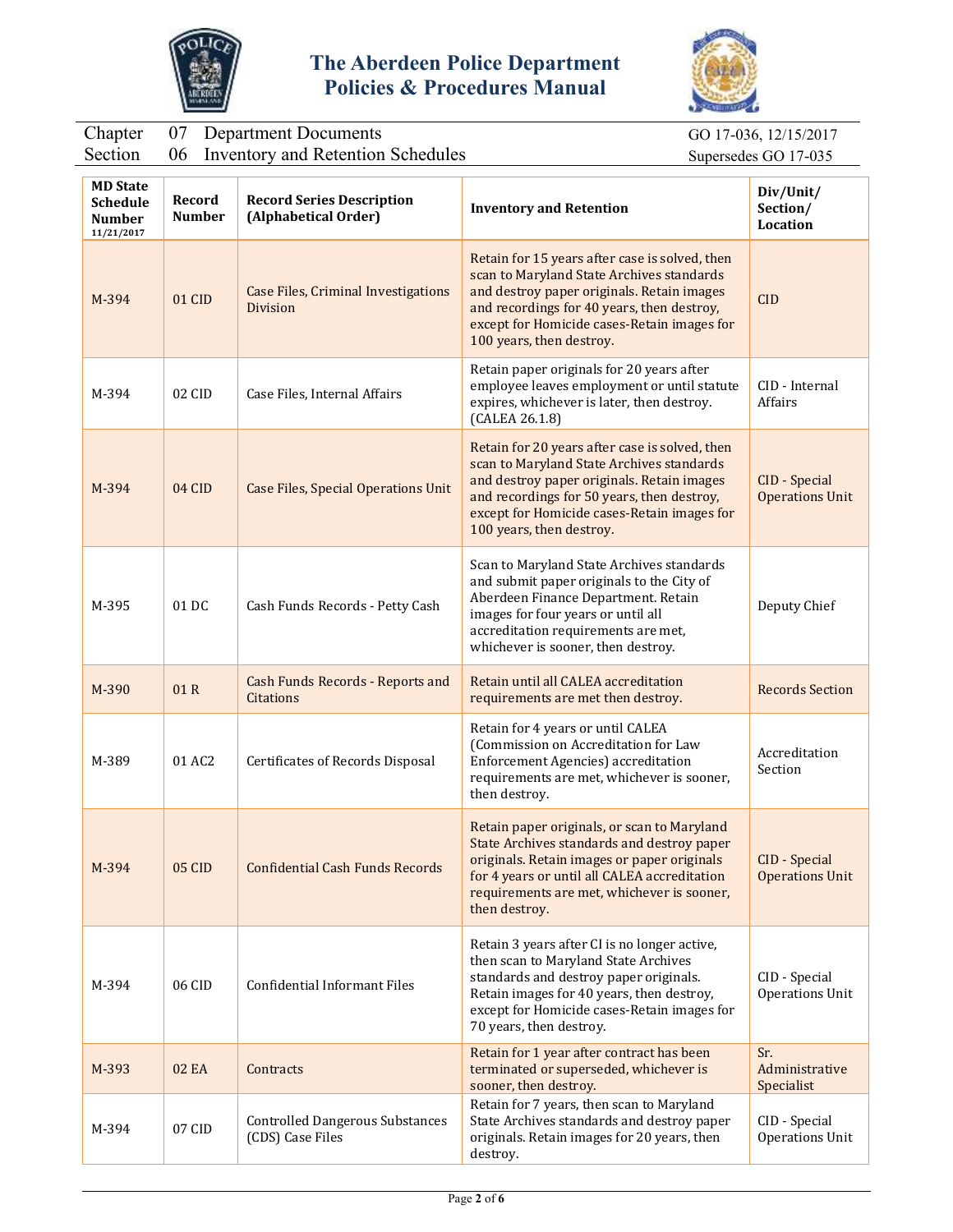



#### Chapter 07 Department Documents GO 17-036, 12/15/2017

Section 06 Inventory and Retention Schedules Supersedes GO 17-035

| <b>MD State</b><br><b>Schedule</b><br>Number<br>11/21/2017 | Record<br><b>Number</b> | <b>Record Series Description</b><br>(Alphabetical Order)      | <b>Inventory and Retention</b>                                                                                                                                                                                                                                     | Div/Unit/<br>Section/<br><b>Location</b> |
|------------------------------------------------------------|-------------------------|---------------------------------------------------------------|--------------------------------------------------------------------------------------------------------------------------------------------------------------------------------------------------------------------------------------------------------------------|------------------------------------------|
| M-394                                                      | 01 CID                  | <b>Case Files, Criminal Investigations</b><br><b>Division</b> | Retain for 15 years after case is solved, then<br>scan to Maryland State Archives standards<br>and destroy paper originals. Retain images<br>and recordings for 40 years, then destroy,<br>except for Homicide cases-Retain images for<br>100 years, then destroy. | <b>CID</b>                               |
| M-394                                                      | 02 CID                  | Case Files, Internal Affairs                                  | Retain paper originals for 20 years after<br>employee leaves employment or until statute<br>expires, whichever is later, then destroy.<br>(CALEA 26.1.8)                                                                                                           | CID - Internal<br><b>Affairs</b>         |
| M-394                                                      | $04$ CID                | <b>Case Files, Special Operations Unit</b>                    | Retain for 20 years after case is solved, then<br>scan to Maryland State Archives standards<br>and destroy paper originals. Retain images<br>and recordings for 50 years, then destroy,<br>except for Homicide cases-Retain images for<br>100 years, then destroy. | CID - Special<br><b>Operations Unit</b>  |
| M-395                                                      | 01 DC                   | Cash Funds Records - Petty Cash                               | Scan to Maryland State Archives standards<br>and submit paper originals to the City of<br>Aberdeen Finance Department. Retain<br>images for four years or until all<br>accreditation requirements are met,<br>whichever is sooner, then destroy.                   | Deputy Chief                             |
| M-390                                                      | 01R                     | <b>Cash Funds Records - Reports and</b><br>Citations          | Retain until all CALEA accreditation<br>requirements are met then destroy.                                                                                                                                                                                         | <b>Records Section</b>                   |
| M-389                                                      | 01 AC2                  | Certificates of Records Disposal                              | Retain for 4 years or until CALEA<br>(Commission on Accreditation for Law<br>Enforcement Agencies) accreditation<br>requirements are met, whichever is sooner,<br>then destroy.                                                                                    | Accreditation<br>Section                 |
| M-394                                                      | 05 CID                  | <b>Confidential Cash Funds Records</b>                        | Retain paper originals, or scan to Maryland<br>State Archives standards and destroy paper<br>originals. Retain images or paper originals<br>for 4 years or until all CALEA accreditation<br>requirements are met, whichever is sooner,<br>then destroy.            | CID - Special<br><b>Operations Unit</b>  |
| M-394                                                      | 06 CID                  | Confidential Informant Files                                  | Retain 3 years after CI is no longer active,<br>then scan to Maryland State Archives<br>standards and destroy paper originals.<br>Retain images for 40 years, then destroy,<br>except for Homicide cases-Retain images for<br>70 years, then destroy.              | CID - Special<br>Operations Unit         |
| M-393                                                      | <b>02 EA</b>            | Contracts                                                     | Retain for 1 year after contract has been<br>terminated or superseded, whichever is<br>sooner, then destroy.                                                                                                                                                       | Sr.<br>Administrative<br>Specialist      |
| M-394                                                      | 07 CID                  | <b>Controlled Dangerous Substances</b><br>(CDS) Case Files    | Retain for 7 years, then scan to Maryland<br>State Archives standards and destroy paper<br>originals. Retain images for 20 years, then<br>destroy.                                                                                                                 | CID - Special<br><b>Operations Unit</b>  |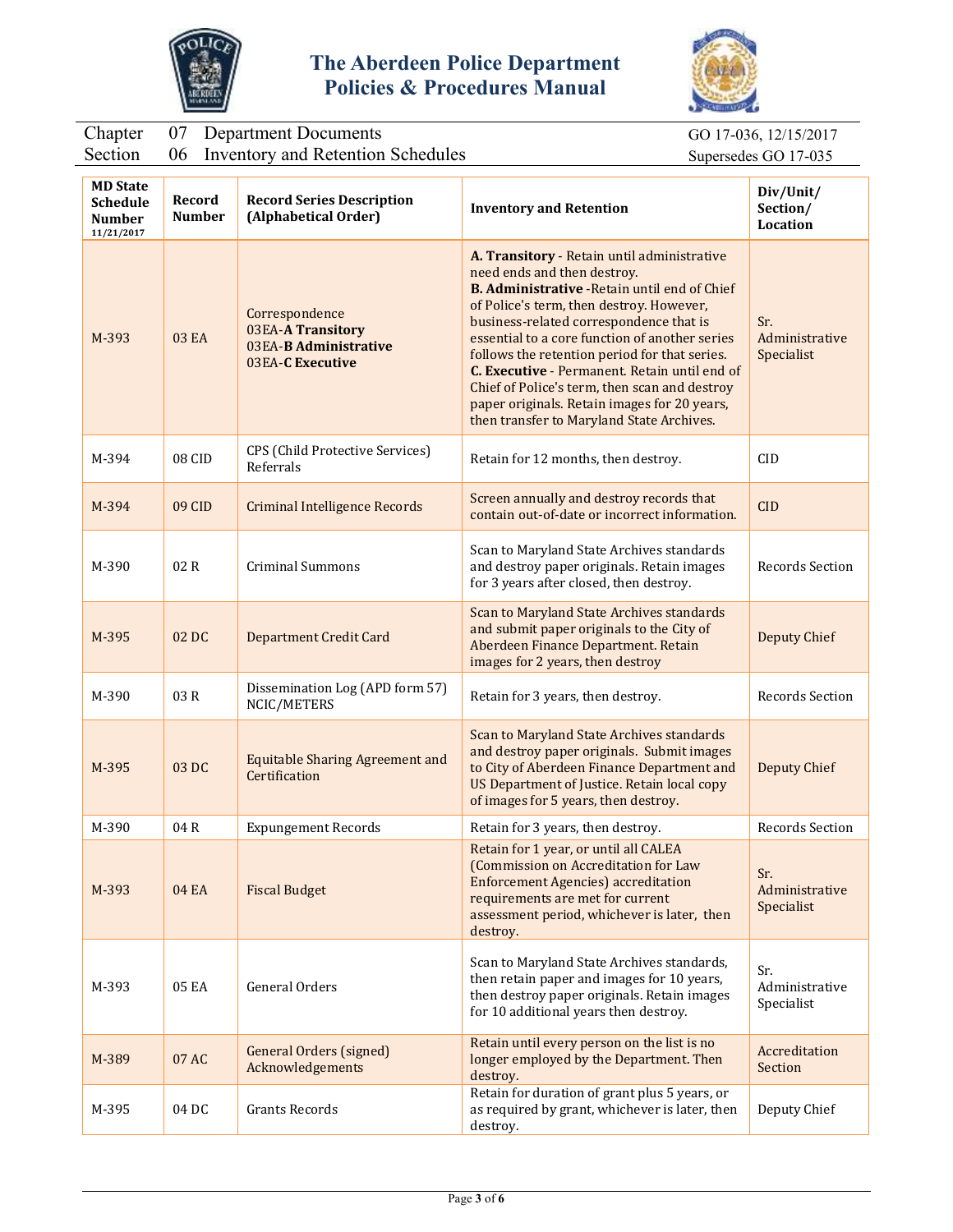



#### Chapter 07 Department Documents GO 17-036, 12/15/2017

Section 06 Inventory and Retention Schedules Supersedes GO 17-035

| <b>MD State</b><br><b>Schedule</b><br><b>Number</b><br>11/21/2017 | Record<br><b>Number</b> | <b>Record Series Description</b><br>(Alphabetical Order)                         | <b>Inventory and Retention</b>                                                                                                                                                                                                                                                                                                                                                                                                                                                                                              | Div/Unit/<br>Section/<br><b>Location</b> |
|-------------------------------------------------------------------|-------------------------|----------------------------------------------------------------------------------|-----------------------------------------------------------------------------------------------------------------------------------------------------------------------------------------------------------------------------------------------------------------------------------------------------------------------------------------------------------------------------------------------------------------------------------------------------------------------------------------------------------------------------|------------------------------------------|
| M-393                                                             | 03 EA                   | Correspondence<br>03EA-A Transitory<br>03EA-B Administrative<br>03EA-C Executive | A. Transitory - Retain until administrative<br>need ends and then destroy.<br><b>B. Administrative - Retain until end of Chief</b><br>of Police's term, then destroy. However,<br>business-related correspondence that is<br>essential to a core function of another series<br>follows the retention period for that series.<br>C. Executive - Permanent. Retain until end of<br>Chief of Police's term, then scan and destroy<br>paper originals. Retain images for 20 years,<br>then transfer to Maryland State Archives. | Sr.<br>Administrative<br>Specialist      |
| M-394                                                             | 08 CID                  | CPS (Child Protective Services)<br>Referrals                                     | Retain for 12 months, then destroy.                                                                                                                                                                                                                                                                                                                                                                                                                                                                                         | CID                                      |
| M-394                                                             | 09 CID                  | <b>Criminal Intelligence Records</b>                                             | Screen annually and destroy records that<br>contain out-of-date or incorrect information.                                                                                                                                                                                                                                                                                                                                                                                                                                   | <b>CID</b>                               |
| M-390                                                             | 02R                     | <b>Criminal Summons</b>                                                          | Scan to Maryland State Archives standards<br>and destroy paper originals. Retain images<br>for 3 years after closed, then destroy.                                                                                                                                                                                                                                                                                                                                                                                          | Records Section                          |
| M-395                                                             | 02 DC                   | <b>Department Credit Card</b>                                                    | Scan to Maryland State Archives standards<br>and submit paper originals to the City of<br>Aberdeen Finance Department. Retain<br>images for 2 years, then destroy                                                                                                                                                                                                                                                                                                                                                           | <b>Deputy Chief</b>                      |
| M-390                                                             | 03R                     | Dissemination Log (APD form 57)<br>NCIC/METERS                                   | Retain for 3 years, then destroy.                                                                                                                                                                                                                                                                                                                                                                                                                                                                                           | Records Section                          |
| M-395                                                             | 03 DC                   | <b>Equitable Sharing Agreement and</b><br>Certification                          | Scan to Maryland State Archives standards<br>and destroy paper originals. Submit images<br>to City of Aberdeen Finance Department and<br>US Department of Justice. Retain local copy<br>of images for 5 years, then destroy.                                                                                                                                                                                                                                                                                                | <b>Deputy Chief</b>                      |
| M-390                                                             | 04 R                    | <b>Expungement Records</b>                                                       | Retain for 3 years, then destroy.                                                                                                                                                                                                                                                                                                                                                                                                                                                                                           | Records Section                          |
| M-393                                                             | <b>04 EA</b>            | <b>Fiscal Budget</b>                                                             | Retain for 1 year, or until all CALEA<br>(Commission on Accreditation for Law<br><b>Enforcement Agencies) accreditation</b><br>requirements are met for current<br>assessment period, whichever is later, then<br>destroy.                                                                                                                                                                                                                                                                                                  | Sr.<br>Administrative<br>Specialist      |
| M-393                                                             | 05 EA                   | General Orders                                                                   | Scan to Maryland State Archives standards,<br>then retain paper and images for 10 years,<br>then destroy paper originals. Retain images<br>for 10 additional years then destroy.                                                                                                                                                                                                                                                                                                                                            | Sr.<br>Administrative<br>Specialist      |
| M-389                                                             | 07 AC                   | <b>General Orders (signed)</b><br>Acknowledgements                               | Retain until every person on the list is no<br>longer employed by the Department. Then<br>destroy.                                                                                                                                                                                                                                                                                                                                                                                                                          | Accreditation<br>Section                 |
| M-395                                                             | 04 DC                   | <b>Grants Records</b>                                                            | Retain for duration of grant plus 5 years, or<br>as required by grant, whichever is later, then<br>destroy.                                                                                                                                                                                                                                                                                                                                                                                                                 | Deputy Chief                             |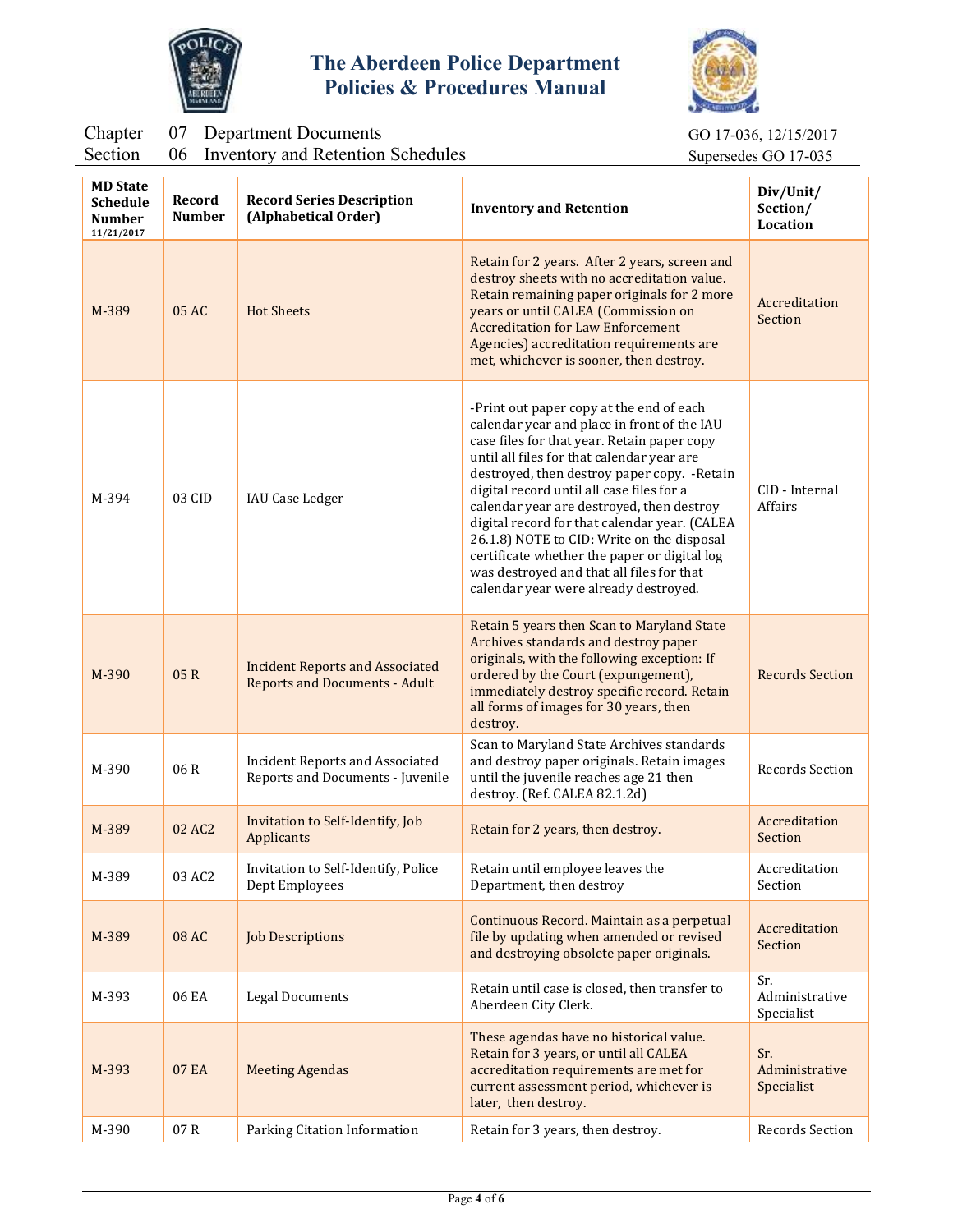



Section 06 Inventory and Retention Schedules Supersedes GO 17-035

GO 17-036, 12/15/2017

| <b>MD State</b><br><b>Schedule</b><br><b>Number</b><br>11/21/2017 | Record<br><b>Number</b> | <b>Record Series Description</b><br>(Alphabetical Order)                       | <b>Inventory and Retention</b>                                                                                                                                                                                                                                                                                                                                                                                                                                                                                                                                      | Div/Unit/<br>Section/<br>Location   |
|-------------------------------------------------------------------|-------------------------|--------------------------------------------------------------------------------|---------------------------------------------------------------------------------------------------------------------------------------------------------------------------------------------------------------------------------------------------------------------------------------------------------------------------------------------------------------------------------------------------------------------------------------------------------------------------------------------------------------------------------------------------------------------|-------------------------------------|
| M-389                                                             | 05 AC                   | <b>Hot Sheets</b>                                                              | Retain for 2 years. After 2 years, screen and<br>destroy sheets with no accreditation value.<br>Retain remaining paper originals for 2 more<br>years or until CALEA (Commission on<br><b>Accreditation for Law Enforcement</b><br>Agencies) accreditation requirements are<br>met, whichever is sooner, then destroy.                                                                                                                                                                                                                                               | Accreditation<br>Section            |
| M-394                                                             | 03 CID                  | IAU Case Ledger                                                                | -Print out paper copy at the end of each<br>calendar year and place in front of the IAU<br>case files for that year. Retain paper copy<br>until all files for that calendar year are<br>destroyed, then destroy paper copy. - Retain<br>digital record until all case files for a<br>calendar year are destroyed, then destroy<br>digital record for that calendar year. (CALEA<br>26.1.8) NOTE to CID: Write on the disposal<br>certificate whether the paper or digital log<br>was destroyed and that all files for that<br>calendar year were already destroyed. | CID - Internal<br>Affairs           |
| M-390                                                             | 05R                     | <b>Incident Reports and Associated</b><br><b>Reports and Documents - Adult</b> | Retain 5 years then Scan to Maryland State<br>Archives standards and destroy paper<br>originals, with the following exception: If<br>ordered by the Court (expungement),<br>immediately destroy specific record. Retain<br>all forms of images for 30 years, then<br>destroy.                                                                                                                                                                                                                                                                                       | <b>Records Section</b>              |
| M-390                                                             | 06R                     | <b>Incident Reports and Associated</b><br>Reports and Documents - Juvenile     | Scan to Maryland State Archives standards<br>and destroy paper originals. Retain images<br>until the juvenile reaches age 21 then<br>destroy. (Ref. CALEA 82.1.2d)                                                                                                                                                                                                                                                                                                                                                                                                  | Records Section                     |
| M-389                                                             | 02 AC2                  | Invitation to Self-Identify, Job<br>Applicants                                 | Retain for 2 years, then destroy.                                                                                                                                                                                                                                                                                                                                                                                                                                                                                                                                   | Accreditation<br>Section            |
| M-389                                                             | 03 AC2                  | Invitation to Self-Identify, Police<br>Dept Employees                          | Retain until employee leaves the<br>Department, then destroy                                                                                                                                                                                                                                                                                                                                                                                                                                                                                                        | Accreditation<br>Section            |
| M-389                                                             | 08 AC                   | <b>Job Descriptions</b>                                                        | Continuous Record. Maintain as a perpetual<br>file by updating when amended or revised<br>and destroying obsolete paper originals.                                                                                                                                                                                                                                                                                                                                                                                                                                  | Accreditation<br>Section            |
| M-393                                                             | 06 EA                   | <b>Legal Documents</b>                                                         | Retain until case is closed, then transfer to<br>Aberdeen City Clerk.                                                                                                                                                                                                                                                                                                                                                                                                                                                                                               | Sr.<br>Administrative<br>Specialist |
| M-393                                                             | 07 EA                   | <b>Meeting Agendas</b>                                                         | These agendas have no historical value.<br>Retain for 3 years, or until all CALEA<br>accreditation requirements are met for<br>current assessment period, whichever is<br>later, then destroy.                                                                                                                                                                                                                                                                                                                                                                      | Sr.<br>Administrative<br>Specialist |
| M-390                                                             | 07R                     | Parking Citation Information                                                   | Retain for 3 years, then destroy.                                                                                                                                                                                                                                                                                                                                                                                                                                                                                                                                   | Records Section                     |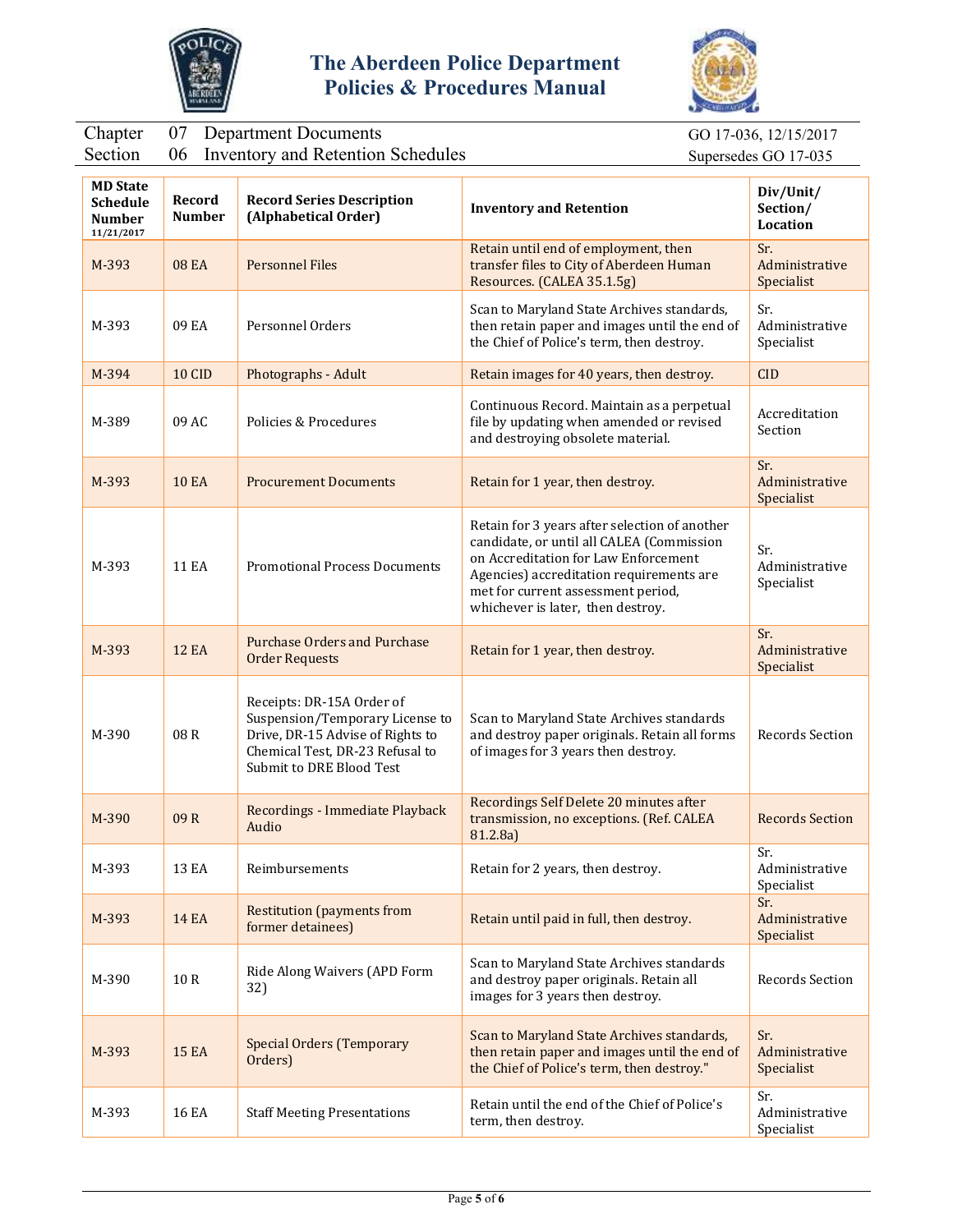



## Chapter 07 Department Documents GO 17-036, 12/15/2017

|  | Section 06 Inventory and Retention Schedule |  |
|--|---------------------------------------------|--|
|  |                                             |  |

Section 06 Inventory and Retention Supersedes GO 17-035

| <b>MD State</b><br><b>Schedule</b><br><b>Number</b><br>11/21/2017 | Record<br><b>Number</b> | <b>Record Series Description</b><br>(Alphabetical Order)                                                                                                        | <b>Inventory and Retention</b>                                                                                                                                                                                                                            | Div/Unit/<br>Section/<br><b>Location</b> |
|-------------------------------------------------------------------|-------------------------|-----------------------------------------------------------------------------------------------------------------------------------------------------------------|-----------------------------------------------------------------------------------------------------------------------------------------------------------------------------------------------------------------------------------------------------------|------------------------------------------|
| M-393                                                             | <b>08 EA</b>            | <b>Personnel Files</b>                                                                                                                                          | Retain until end of employment, then<br>transfer files to City of Aberdeen Human<br>Resources. (CALEA 35.1.5g)                                                                                                                                            | Sr.<br>Administrative<br>Specialist      |
| M-393                                                             | 09 EA                   | Personnel Orders                                                                                                                                                | Scan to Maryland State Archives standards,<br>then retain paper and images until the end of<br>the Chief of Police's term, then destroy.                                                                                                                  | Sr.<br>Administrative<br>Specialist      |
| M-394                                                             | <b>10 CID</b>           | Photographs - Adult                                                                                                                                             | Retain images for 40 years, then destroy.                                                                                                                                                                                                                 | <b>CID</b>                               |
| M-389                                                             | 09 AC                   | Policies & Procedures                                                                                                                                           | Continuous Record. Maintain as a perpetual<br>file by updating when amended or revised<br>and destroying obsolete material.                                                                                                                               | Accreditation<br>Section                 |
| M-393                                                             | <b>10 EA</b>            | <b>Procurement Documents</b>                                                                                                                                    | Retain for 1 year, then destroy.                                                                                                                                                                                                                          | Sr.<br>Administrative<br>Specialist      |
| M-393                                                             | <b>11 EA</b>            | <b>Promotional Process Documents</b>                                                                                                                            | Retain for 3 years after selection of another<br>candidate, or until all CALEA (Commission<br>on Accreditation for Law Enforcement<br>Agencies) accreditation requirements are<br>met for current assessment period,<br>whichever is later, then destroy. | Sr.<br>Administrative<br>Specialist      |
| M-393                                                             | <b>12 EA</b>            | <b>Purchase Orders and Purchase</b><br><b>Order Requests</b>                                                                                                    | Retain for 1 year, then destroy.                                                                                                                                                                                                                          | Sr.<br>Administrative<br>Specialist      |
| M-390                                                             | 08R                     | Receipts: DR-15A Order of<br>Suspension/Temporary License to<br>Drive, DR-15 Advise of Rights to<br>Chemical Test, DR-23 Refusal to<br>Submit to DRE Blood Test | Scan to Maryland State Archives standards<br>and destroy paper originals. Retain all forms<br>of images for 3 years then destroy.                                                                                                                         | <b>Records Section</b>                   |
| M-390                                                             | 09R                     | Recordings - Immediate Playback<br>Audio                                                                                                                        | Recordings Self Delete 20 minutes after<br>transmission, no exceptions. (Ref. CALEA<br>81.2.8a)                                                                                                                                                           | <b>Records Section</b>                   |
| M-393                                                             | 13 EA                   | Reimbursements                                                                                                                                                  | Retain for 2 years, then destroy.                                                                                                                                                                                                                         | Sr.<br>Administrative<br>Specialist      |
| M-393                                                             | <b>14 EA</b>            | <b>Restitution (payments from</b><br>former detainees)                                                                                                          | Retain until paid in full, then destroy.                                                                                                                                                                                                                  | Sr.<br>Administrative<br>Specialist      |
| M-390                                                             | 10 R                    | Ride Along Waivers (APD Form<br>32)                                                                                                                             | Scan to Maryland State Archives standards<br>and destroy paper originals. Retain all<br>images for 3 years then destroy.                                                                                                                                  | Records Section                          |
| M-393                                                             | <b>15 EA</b>            | <b>Special Orders (Temporary</b><br>Orders)                                                                                                                     | Scan to Maryland State Archives standards,<br>then retain paper and images until the end of<br>the Chief of Police's term, then destroy."                                                                                                                 | Sr.<br>Administrative<br>Specialist      |
| M-393                                                             | 16 EA                   | <b>Staff Meeting Presentations</b>                                                                                                                              | Retain until the end of the Chief of Police's<br>term, then destroy.                                                                                                                                                                                      | Sr.<br>Administrative<br>Specialist      |